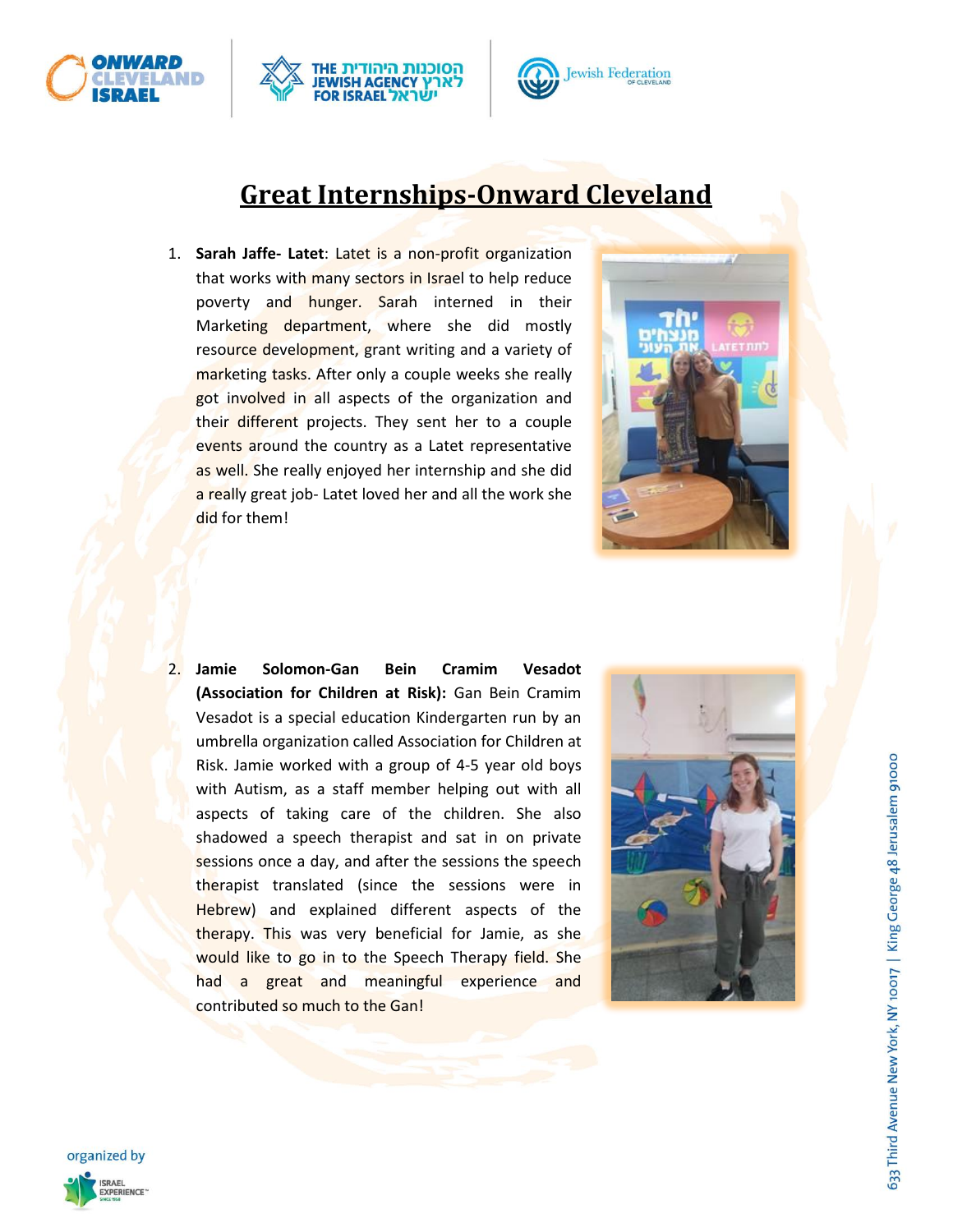





## **Great Internships-Onward Cleveland**

1. **Sarah Jaffe- Latet**: Latet is a non-profit organization that works with many sectors in Israel to help reduce poverty and hunger. Sarah interned in their Marketing department, where she did mostly resource development, grant writing and a variety of marketing tasks. After only a couple weeks she really got involved in all aspects of the organization and their different projects. They sent her to a couple events around the country as a Latet representative as well. She really enjoyed her internship and she did a really great job- Latet loved her and all the work she did for them!



2. **Jamie Solomon-Gan Bein Cramim Vesadot (Association for Children at Risk):** Gan Bein Cramim Vesadot is a special education Kindergarten run by an umbrella organization called Association for Children at Risk. Jamie worked with a group of 4-5 year old boys with Autism, as a staff member helping out with all aspects of taking care of the children. She also shadowed a speech therapist and sat in on private sessions once a day, and after the sessions the speech therapist translated (since the sessions were in Hebrew) and explained different aspects of the therapy. This was very beneficial for Jamie, as she would like to go in to the Speech Therapy field. She had a great and meaningful experience and contributed so much to the Gan!



633 Third Avenue New York, NY 10017 | King George 48 Jerusalem 91000

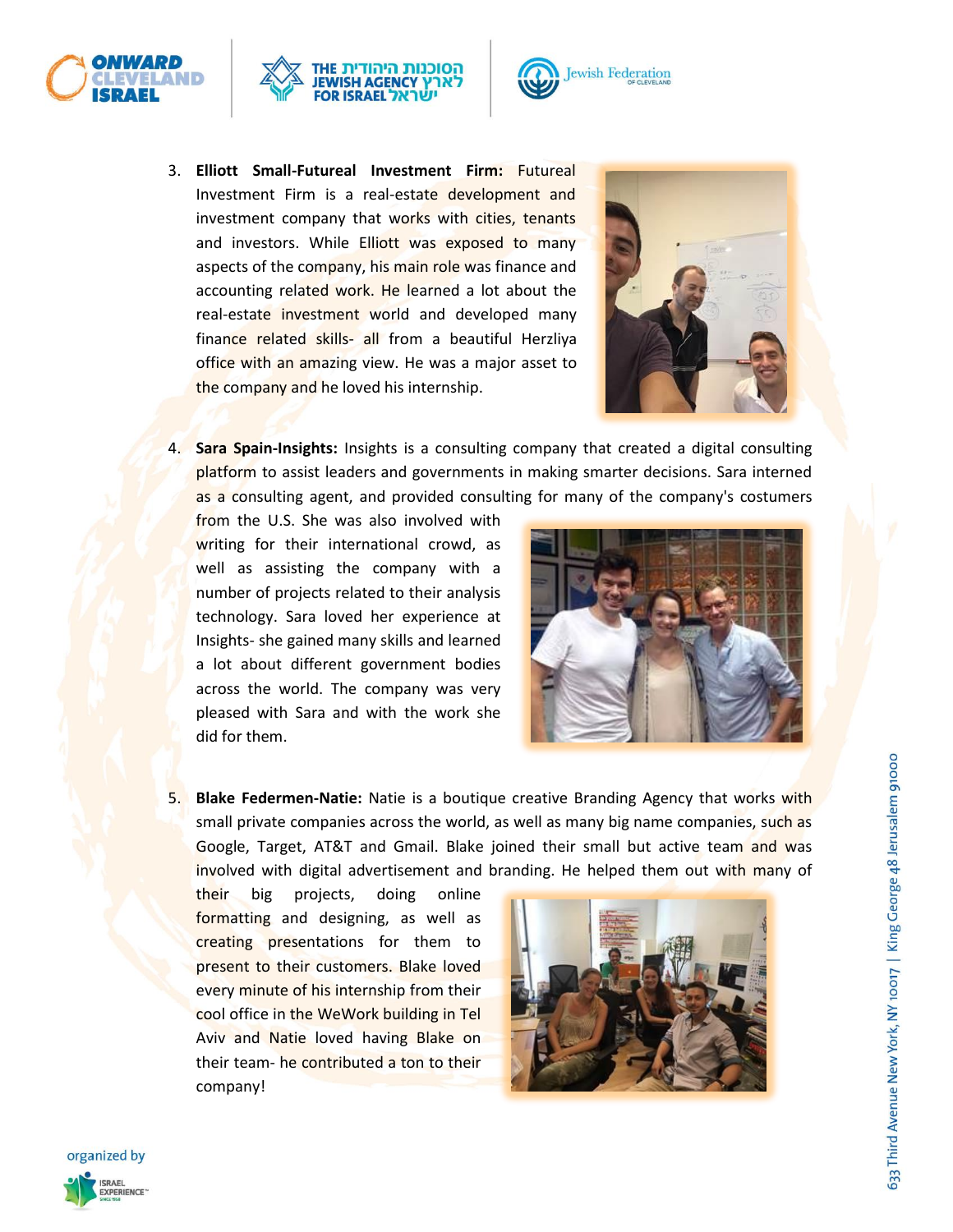





3. **Elliott Small-Futureal Investment Firm:** Futureal Investment Firm is a real-estate development and investment company that works with cities, tenants and investors. While Elliott was exposed to many aspects of the company, his main role was finance and accounting related work. He learned a lot about the real-estate investment world and developed many finance related skills- all from a beautiful Herzliya office with an amazing view. He was a major asset to the company and he loved his internship.



4. **Sara Spain-Insights:** Insights is a consulting company that created a digital consulting platform to assist leaders and governments in making smarter decisions. Sara interned as a consulting agent, and provided consulting for many of the company's costumers

from the U.S. She was also involved with writing for their international crowd, as well as assisting the company with a number of projects related to their analysis technology. Sara loved her experience at Insights- she gained many skills and learned a lot about different government bodies across the world. The company was very pleased with Sara and with the work she did for them.



5. **Blake Federmen-Natie:** Natie is a boutique creative Branding Agency that works with small private companies across the world, as well as many big name companies, such as Google, Target, AT&T and Gmail. Blake joined their small but active team and was involved with digital advertisement and branding. He helped them out with many of

their big projects, doing online formatting and designing, as well as creating presentations for them to present to their customers. Blake loved every minute of his internship from their cool office in the WeWork building in Tel Aviv and Natie loved having Blake on their team- he contributed a ton to their company!



633 Third Avenue New York, NY 10017 | King George 48 Jerusalem 91000

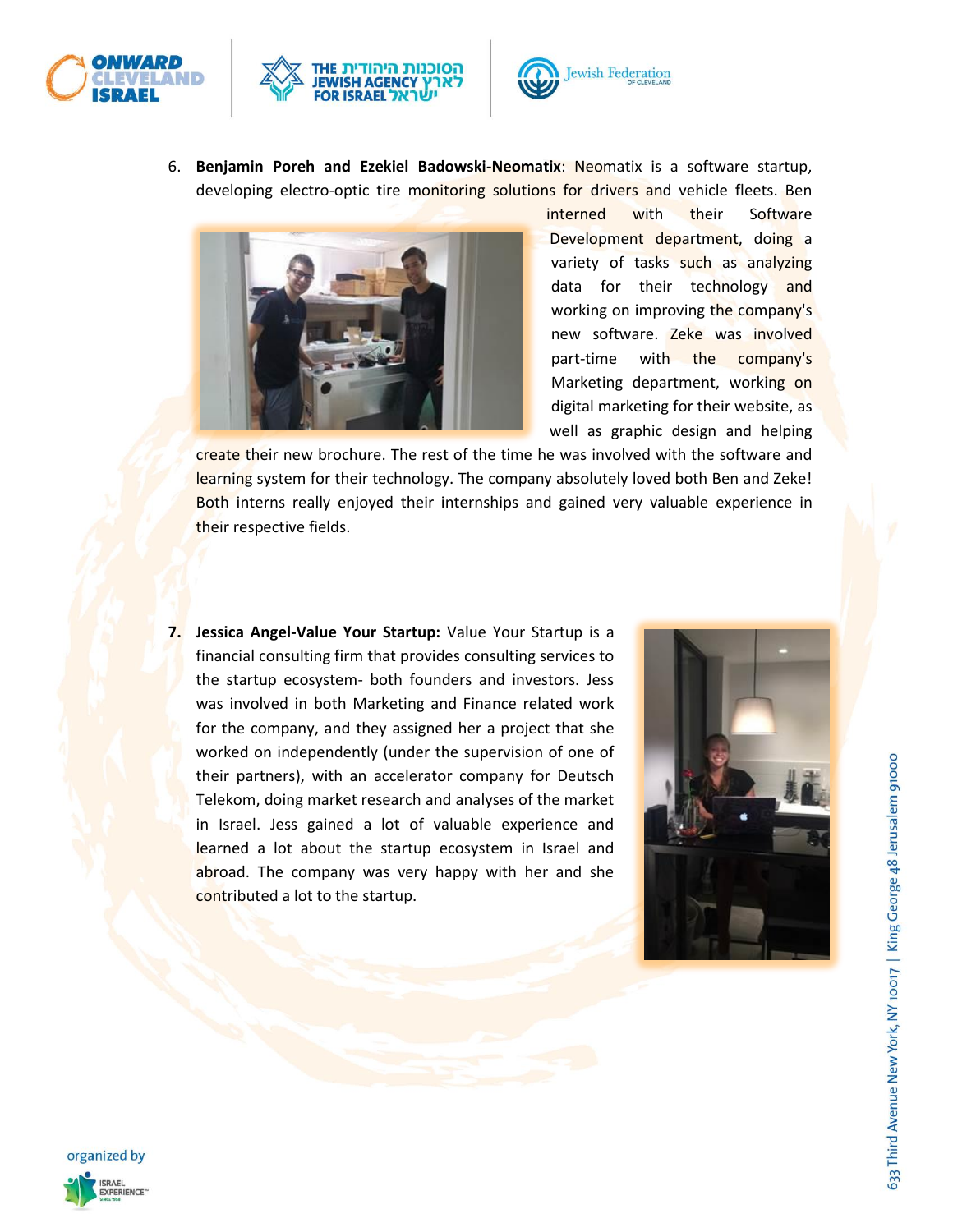





6. **Benjamin Poreh and Ezekiel Badowski-Neomatix**: Neomatix is a software startup, developing electro-optic tire monitoring solutions for drivers and vehicle fleets. Ben



interned with their Software Development department, doing a variety of tasks such as analyzing data for their technology and working on improving the company's new software. Zeke was involved part-time with the company's Marketing department, working on digital marketing for their website, as well as graphic design and helping

create their new brochure. The rest of the time he was involved with the software and learning system for their technology. The company absolutely loved both Ben and Zeke! Both interns really enjoyed their internships and gained very valuable experience in their respective fields.

**7. Jessica Angel-Value Your Startup:** Value Your Startup is a financial consulting firm that provides consulting services to the startup ecosystem- both founders and investors. Jess was involved in both Marketing and Finance related work for the company, and they assigned her a project that she worked on independently (under the supervision of one of their partners), with an accelerator company for Deutsch Telekom, doing market research and analyses of the market in Israel. Jess gained a lot of valuable experience and learned a lot about the startup ecosystem in Israel and abroad. The company was very happy with her and she contributed a lot to the startup.



633 Third Avenue New York, NY 10017 | King George 48 Jerusalem 91000

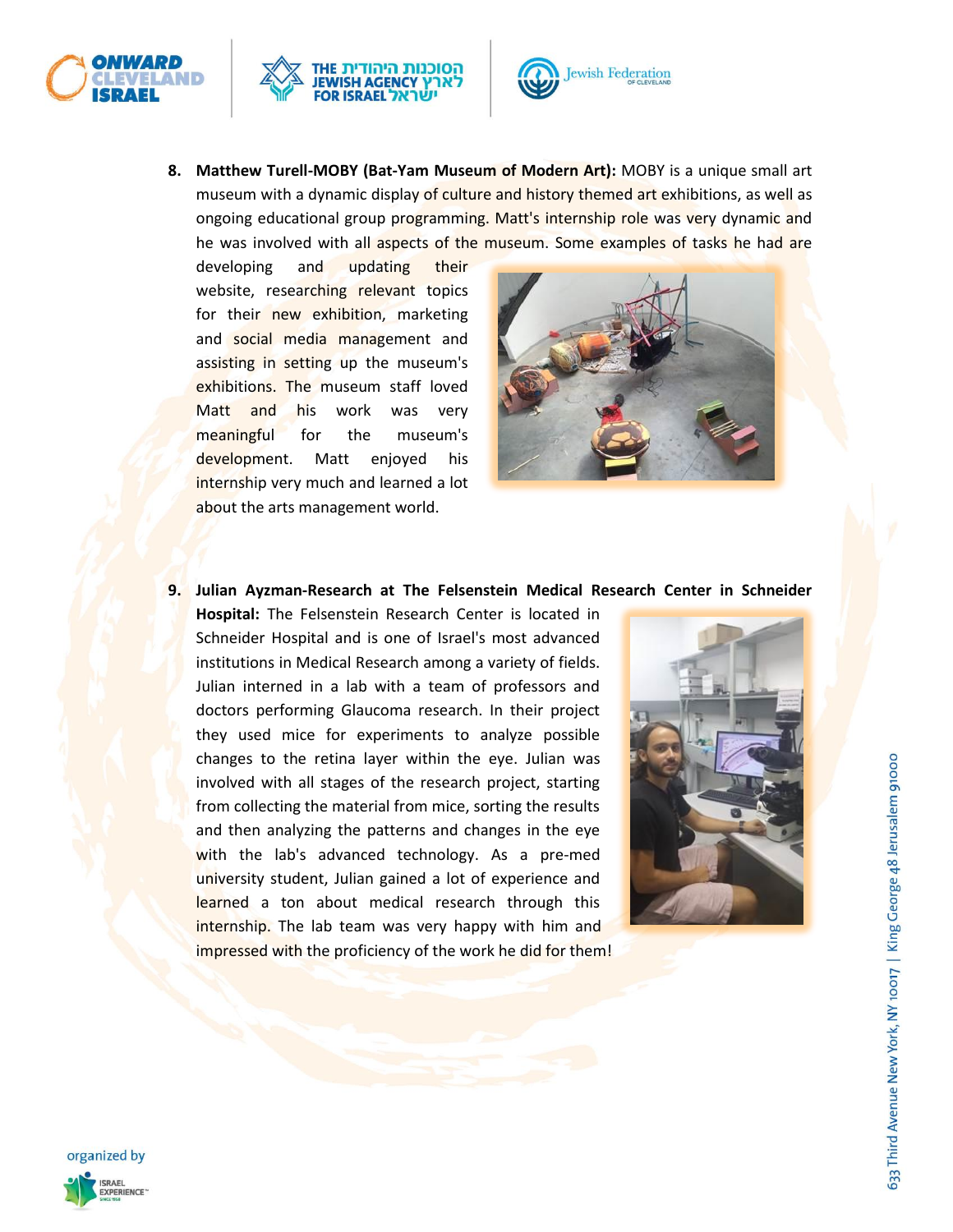





**8. Matthew Turell-MOBY (Bat-Yam Museum of Modern Art):** MOBY is a unique small art museum with a dynamic display of culture and history themed art exhibitions, as well as ongoing educational group programming. Matt's internship role was very dynamic and he was involved with all aspects of the museum. Some examples of tasks he had are

developing and updating their website, researching relevant topics for their new exhibition, marketing and social media management and assisting in setting up the museum's exhibitions. The museum staff loved Matt and his work was very meaningful for the museum's development. Matt enjoyed his internship very much and learned a lot about the arts management world.



## **9. Julian Ayzman-Research at The Felsenstein Medical Research Center in Schneider**

**Hospital:** The Felsenstein Research Center is located in Schneider Hospital and is one of Israel's most advanced institutions in Medical Research among a variety of fields. Julian interned in a lab with a team of professors and doctors performing Glaucoma research. In their project they used mice for experiments to analyze possible changes to the retina layer within the eye. Julian was involved with all stages of the research project, starting from collecting the material from mice, sorting the results and then analyzing the patterns and changes in the eye with the lab's advanced technology. As a pre-med university student, Julian gained a lot of experience and learned a ton about medical research through this internship. The lab team was very happy with him and impressed with the proficiency of the work he did for them!